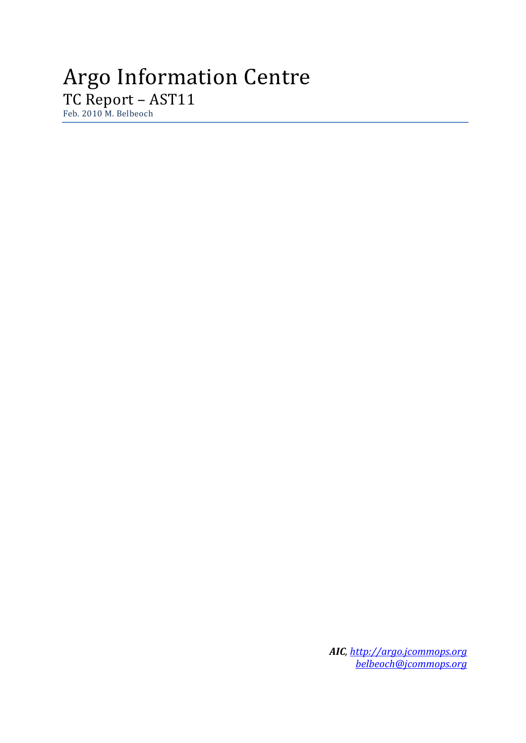# Argo Information Centre TC Report – AST11 Feb. 2010 M. Belbeoch

*AIC[, http://argo.jcommops.org](http://argo.jcommops.org/) [belbeoch@jcommops.org](mailto:belbeoch@jcommops.org)*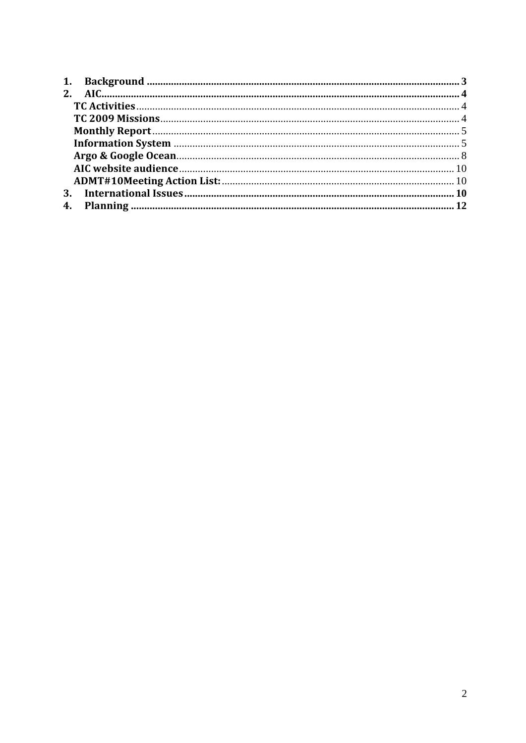| <b>3.</b> |  |
|-----------|--|
|           |  |
|           |  |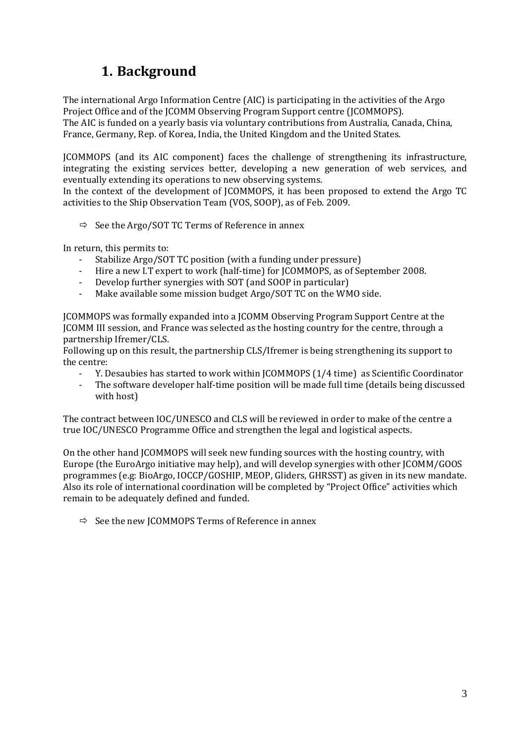## **1. Background**

<span id="page-2-0"></span>The international Argo Information Centre (AIC) is participating in the activities of the Argo Project Office and of the JCOMM Observing Program Support centre (JCOMMOPS). The AIC is funded on a yearly basis via voluntary contributions from Australia, Canada, China, France, Germany, Rep. of Korea, India, the United Kingdom and the United States.

JCOMMOPS (and its AIC component) faces the challenge of strengthening its infrastructure, integrating the existing services better, developing a new generation of web services, and eventually extending its operations to new observing systems.

In the context of the development of JCOMMOPS, it has been proposed to extend the Argo TC activities to the Ship Observation Team (VOS, SOOP), as of Feb. 2009.

 $\Rightarrow$  See the Argo/SOT TC Terms of Reference in annex

In return, this permits to:

- Stabilize Argo/SOT TC position (with a funding under pressure)
- Hire a new I.T expert to work (half-time) for JCOMMOPS, as of September 2008.
- Develop further synergies with SOT (and SOOP in particular)<br>- Make available some mission budget Argo/SOT TC on the WM
- Make available some mission budget Argo/SOT TC on the WMO side.

JCOMMOPS was formally expanded into a JCOMM Observing Program Support Centre at the JCOMM III session, and France was selected as the hosting country for the centre, through a partnership Ifremer/CLS.

Following up on this result, the partnership CLS/Ifremer is being strengthening its support to the centre:

- Y. Desaubies has started to work within JCOMMOPS (1/4 time) as Scientific Coordinator
- The software developer half-time position will be made full time (details being discussed with host)

The contract between IOC/UNESCO and CLS will be reviewed in order to make of the centre a true IOC/UNESCO Programme Office and strengthen the legal and logistical aspects.

On the other hand JCOMMOPS will seek new funding sources with the hosting country, with Europe (the EuroArgo initiative may help), and will develop synergies with other JCOMM/GOOS programmes (e.g: BioArgo, IOCCP/GOSHIP, MEOP, Gliders, GHRSST) as given in its new mandate. Also its role of international coordination will be completed by "Project Office" activities which remain to be adequately defined and funded.

 $\Rightarrow$  See the new JCOMMOPS Terms of Reference in annex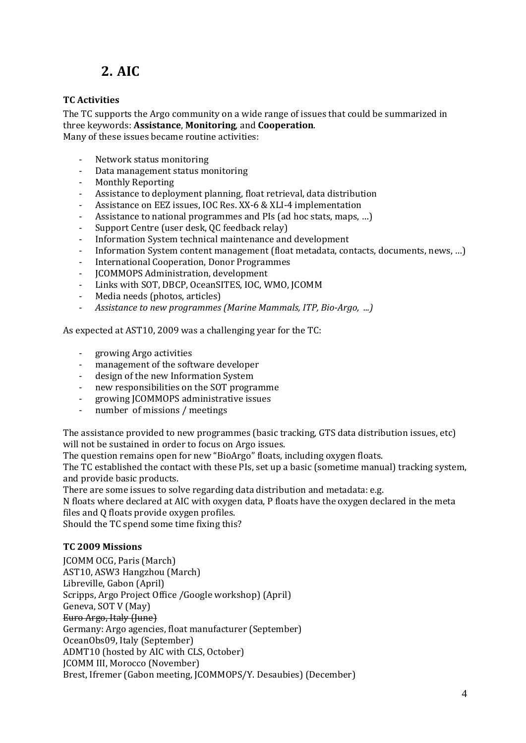# **2. AIC**

## <span id="page-3-1"></span><span id="page-3-0"></span>**TC Activities**

The TC supports the Argo community on a wide range of issues that could be summarized in three keywords: **Assistance**, **Monitoring**, and **Cooperation**. Many of these issues became routine activities:

- Network status monitoring<br>- Data management status mo - Data management status monitoring<br>- Monthly Reporting
- Monthly Reporting
- Assistance to deployment planning, float retrieval, data distribution<br>- Assistance on EEZ issues JOC Res XX-6 & XLI-4 implementation
- Assistance on EEZ issues, IOC Res. XX-6 & XLI-4 implementation
- Assistance to national programmes and PIs (ad hoc stats, maps, ...)
- Support Centre (user desk, QC feedback relay)<br>- Information System technical maintenance and
- Information System technical maintenance and development<br>- Information System content management (float metadata con
- Information System content management (float metadata, contacts, documents, news, ...)
- International Cooperation, Donor Programmes<br>- ICOMMOPS Administration development
- JCOMMOPS Administration, development
- Links with SOT, DBCP, OceanSITES, IOC, WMO, JCOMM<br>- Media needs (photos, articles)
- Media needs (photos, articles)<br>- Assistance to new programmes
- *Assistance to new programmes (Marine Mammals, ITP, Bio-Argo, ...)*

As expected at AST10, 2009 was a challenging year for the TC:

- growing Argo activities
- management of the software developer
- design of the new Information System
- new responsibilities on the SOT programme<br>- growing ICOMMOPS administrative issues
- growing JCOMMOPS administrative issues
- number of missions / meetings

The assistance provided to new programmes (basic tracking, GTS data distribution issues, etc) will not be sustained in order to focus on Argo issues.

The question remains open for new "BioArgo" floats, including oxygen floats.

The TC established the contact with these PIs, set up a basic (sometime manual) tracking system, and provide basic products.

There are some issues to solve regarding data distribution and metadata: e.g.

N floats where declared at AIC with oxygen data, P floats have the oxygen declared in the meta files and Q floats provide oxygen profiles.

Should the TC spend some time fixing this?

## <span id="page-3-2"></span>**TC 2009 Missions**

JCOMM OCG, Paris (March) AST10, ASW3 Hangzhou (March) Libreville, Gabon (April) Scripps, Argo Project Office /Google workshop) (April) Geneva, SOT V (May) Euro Argo, Italy (June) Germany: Argo agencies, float manufacturer (September) OceanObs09, Italy (September) ADMT10 (hosted by AIC with CLS, October) JCOMM III, Morocco (November) Brest, Ifremer (Gabon meeting, JCOMMOPS/Y. Desaubies) (December)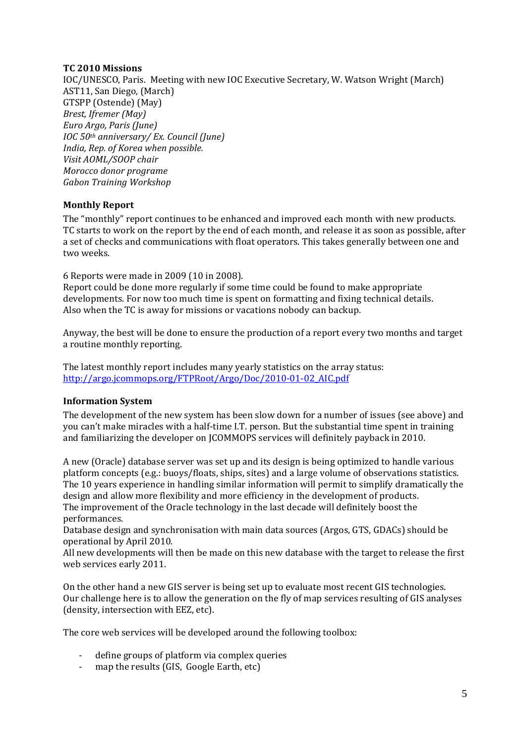### **TC 2010 Missions**

IOC/UNESCO, Paris. Meeting with new IOC Executive Secretary, W. Watson Wright (March) AST11, San Diego, (March) GTSPP (Ostende) (May) *Brest, Ifremer (May) Euro Argo, Paris (June) IOC 50th anniversary/ Ex. Council (June) India, Rep. of Korea when possible. Visit AOML/SOOP chair Morocco donor programe Gabon Training Workshop*

## <span id="page-4-0"></span>**Monthly Report**

The "monthly" report continues to be enhanced and improved each month with new products. TC starts to work on the report by the end of each month, and release it as soon as possible, after a set of checks and communications with float operators. This takes generally between one and two weeks.

6 Reports were made in 2009 (10 in 2008).

Report could be done more regularly if some time could be found to make appropriate developments. For now too much time is spent on formatting and fixing technical details. Also when the TC is away for missions or vacations nobody can backup.

Anyway, the best will be done to ensure the production of a report every two months and target a routine monthly reporting.

The latest monthly report includes many yearly statistics on the array status: [http://argo.jcommops.org/FTPRoot/Argo/Doc/2010-01-02\\_AIC.pdf](http://argo.jcommops.org/FTPRoot/Argo/Doc/2010-01-02_AIC.pdf)

## <span id="page-4-1"></span>**Information System**

The development of the new system has been slow down for a number of issues (see above) and you can't make miracles with a half-time I.T. person. But the substantial time spent in training and familiarizing the developer on JCOMMOPS services will definitely payback in 2010.

A new (Oracle) database server was set up and its design is being optimized to handle various platform concepts (e.g.: buoys/floats, ships, sites) and a large volume of observations statistics. The 10 years experience in handling similar information will permit to simplify dramatically the design and allow more flexibility and more efficiency in the development of products. The improvement of the Oracle technology in the last decade will definitely boost the performances.

Database design and synchronisation with main data sources (Argos, GTS, GDACs) should be operational by April 2010.

All new developments will then be made on this new database with the target to release the first web services early 2011.

On the other hand a new GIS server is being set up to evaluate most recent GIS technologies. Our challenge here is to allow the generation on the fly of map services resulting of GIS analyses (density, intersection with EEZ, etc).

The core web services will be developed around the following toolbox:

- define groups of platform via complex queries<br>- man the results (GIS, Google Earth, etc)
- map the results (GIS, Google Earth, etc)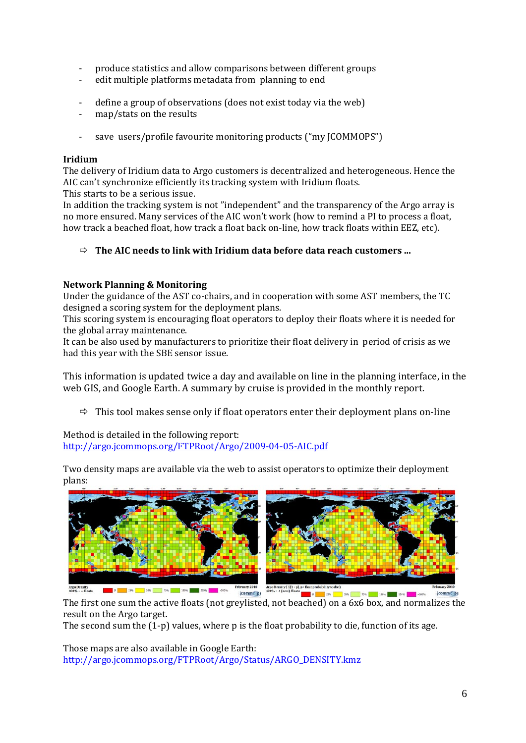- produce statistics and allow comparisons between different groups<br>- edit multiple platforms metadata from planning to end
- edit multiple platforms metadata from planning to end
- define a group of observations (does not exist today via the web)
- map/stats on the results
- save users/profile favourite monitoring products ("my JCOMMOPS")

#### **Iridium**

The delivery of Iridium data to Argo customers is decentralized and heterogeneous. Hence the AIC can't synchronize efficiently its tracking system with Iridium floats. This starts to be a serious issue.

In addition the tracking system is not "independent" and the transparency of the Argo array is no more ensured. Many services of the AIC won't work (how to remind a PI to process a float, how track a beached float, how track a float back on-line, how track floats within EEZ, etc).

## $\Rightarrow$  The AIC needs to link with Iridium data before data reach customers ...

### **Network Planning & Monitoring**

Under the guidance of the AST co-chairs, and in cooperation with some AST members, the TC designed a scoring system for the deployment plans.

This scoring system is encouraging float operators to deploy their floats where it is needed for the global array maintenance.

It can be also used by manufacturers to prioritize their float delivery in period of crisis as we had this year with the SBE sensor issue.

This information is updated twice a day and available on line in the planning interface, in the web GIS, and Google Earth. A summary by cruise is provided in the monthly report.

 $\Rightarrow$  This tool makes sense only if float operators enter their deployment plans on-line

Method is detailed in the following report: <http://argo.jcommops.org/FTPRoot/Argo/2009-04-05-AIC.pdf>

Two density maps are available via the web to assist operators to optimize their deployment plans:



The first one sum the active floats (not greylisted, not beached) on a 6x6 box, and normalizes the result on the Argo target.

The second sum the (1-p) values, where p is the float probability to die, function of its age.

Those maps are also available in Google Earth: [http://argo.jcommops.org/FTPRoot/Argo/Status/ARGO\\_DENSITY.kmz](http://argo.jcommops.org/FTPRoot/Argo/Status/ARGO_DENSITY.kmz)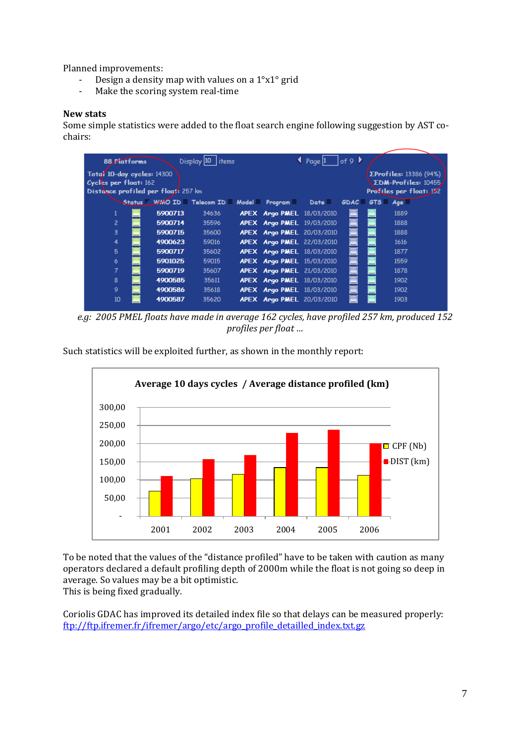Planned improvements:<br>- Design a density

- Design a density map with values on a  $1^{\circ}x1^{\circ}$  grid<br>- Make the scoring system real-time
- Make the scoring system real-time

#### **New stats**

Some simple statistics were added to the float search engine following suggestion by AST cochairs:

| 88 Platforms                                                   |         | Display 10<br><i>items</i>                            |  |                                  | $\triangle$ Page 1 | $\vert$ of 9 |                                                       |      |  |
|----------------------------------------------------------------|---------|-------------------------------------------------------|--|----------------------------------|--------------------|--------------|-------------------------------------------------------|------|--|
| Total 10-day cycles: 14300<br>Cycles per float: 162            |         |                                                       |  |                                  |                    |              | <b>ΣProfiles:</b> 13386 (94%)<br>ΣDM-Profiles: 10455/ |      |  |
| Distance profiled per float: 257 km<br>Profiles per float: 182 |         |                                                       |  |                                  |                    |              |                                                       |      |  |
|                                                                |         | Status WMO ID = Telecom ID = Model = Program = Date = |  |                                  |                    |              | $GDAC \equiv GTS \equiv Ags \equiv$                   |      |  |
|                                                                | 5900713 | 34636                                                 |  | <b>APEX Argo PMEL 18/03/2010</b> |                    |              |                                                       | 1889 |  |
| $\overline{c}$                                                 | 5900714 | 35596                                                 |  | <b>APEX Argo PMEL 19/03/2010</b> |                    |              |                                                       | 1888 |  |
| 3                                                              | 5900715 | 35600                                                 |  | <b>APEX Argo PMEL 20/03/2010</b> |                    |              |                                                       | 1888 |  |
| 4                                                              | 4900623 | 59016                                                 |  | APEX Argo PMEL 22/03/2010        |                    |              |                                                       | 1616 |  |
| 5                                                              | 5900717 | 35602                                                 |  | <b>APEX Argo PMEL 18/03/2010</b> |                    |              |                                                       | 1877 |  |
| 6                                                              | 5901025 | 59015                                                 |  | <b>APEX Argo PMEL 15/03/2010</b> |                    |              |                                                       | 1559 |  |
| 7                                                              | 5900719 | 35607                                                 |  | <b>APEX Argo PMEL 21/03/2010</b> |                    |              |                                                       | 1878 |  |
| 8                                                              | 4900585 | 35611                                                 |  | <b>APEX Argo PMEL 18/03/2010</b> |                    |              |                                                       | 1902 |  |
| 9                                                              | 4900586 | 35618                                                 |  | <b>APEX Argo PMEL 18/03/2010</b> |                    |              |                                                       | 1902 |  |
| 10                                                             | 4900587 | 35620                                                 |  | <b>APEX Argo PMEL 20/03/2010</b> |                    |              |                                                       | 1903 |  |

*e.g: 2005 PMEL floats have made in average 162 cycles, have profiled 257 km, produced 152 profiles per float …*

Such statistics will be exploited further, as shown in the monthly report:



To be noted that the values of the "distance profiled" have to be taken with caution as many operators declared a default profiling depth of 2000m while the float is not going so deep in average. So values may be a bit optimistic.

This is being fixed gradually.

Coriolis GDAC has improved its detailed index file so that delays can be measured properly: [ftp://ftp.ifremer.fr/ifremer/argo/etc/argo\\_profile\\_detailled\\_index.txt.gz](ftp://ftp.ifremer.fr/ifremer/argo/etc/argo_profile_detailled_index.txt.gz)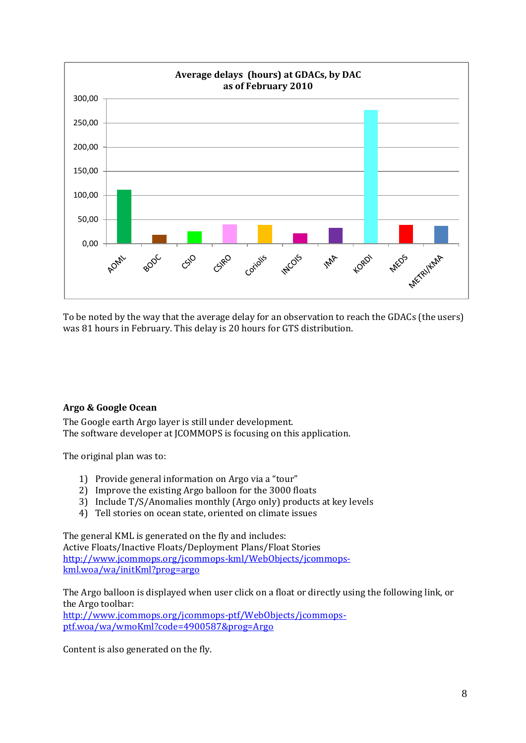

To be noted by the way that the average delay for an observation to reach the GDACs (the users) was 81 hours in February. This delay is 20 hours for GTS distribution.

## <span id="page-7-0"></span>**Argo & Google Ocean**

The Google earth Argo layer is still under development. The software developer at JCOMMOPS is focusing on this application.

The original plan was to:

- 1) Provide general information on Argo via a "tour"
- 2) Improve the existing Argo balloon for the 3000 floats
- 3) Include T/S/Anomalies monthly (Argo only) products at key levels
- 4) Tell stories on ocean state, oriented on climate issues

The general KML is generated on the fly and includes: Active Floats/Inactive Floats/Deployment Plans/Float Stories [http://www.jcommops.org/jcommops-kml/WebObjects/jcommops](http://www.jcommops.org/jcommops-kml/WebObjects/jcommops-kml.woa/wa/initKml?prog=argo)[kml.woa/wa/initKml?prog=argo](http://www.jcommops.org/jcommops-kml/WebObjects/jcommops-kml.woa/wa/initKml?prog=argo)

The Argo balloon is displayed when user click on a float or directly using the following link, or the Argo toolbar:

[http://www.jcommops.org/jcommops-ptf/WebObjects/jcommops](http://www.jcommops.org/jcommops-ptf/WebObjects/jcommops-ptf.woa/wa/wmoKml?code=4900587&prog=Argo)[ptf.woa/wa/wmoKml?code=4900587&prog=Argo](http://www.jcommops.org/jcommops-ptf/WebObjects/jcommops-ptf.woa/wa/wmoKml?code=4900587&prog=Argo)

Content is also generated on the fly.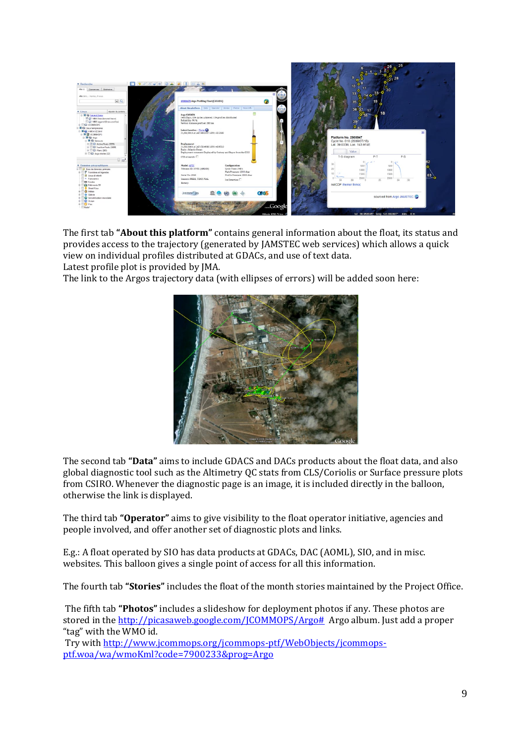

The first tab **"About this platform"** contains general information about the float, its status and provides access to the trajectory (generated by JAMSTEC web services) which allows a quick view on individual profiles distributed at GDACs, and use of text data.

Latest profile plot is provided by JMA.

The link to the Argos trajectory data (with ellipses of errors) will be added soon here:



The second tab **"Data"** aims to include GDACS and DACs products about the float data, and also global diagnostic tool such as the Altimetry QC stats from CLS/Coriolis or Surface pressure plots from CSIRO. Whenever the diagnostic page is an image, it is included directly in the balloon, otherwise the link is displayed.

The third tab **"Operator"** aims to give visibility to the float operator initiative, agencies and people involved, and offer another set of diagnostic plots and links.

E.g.: A float operated by SIO has data products at GDACs, DAC (AOML), SIO, and in misc. websites. This balloon gives a single point of access for all this information.

The fourth tab **"Stories"** includes the float of the month stories maintained by the Project Office.

The fifth tab **"Photos"** includes a slideshow for deployment photos if any. These photos are stored in th[e http://picasaweb.google.com/JCOMMOPS/Argo#](http://picasaweb.google.com/JCOMMOPS/Argo) Argo album. Just add a proper "tag" with the WMO id.

Try wit[h http://www.jcommops.org/jcommops-ptf/WebObjects/jcommops](http://www.jcommops.org/jcommops-ptf/WebObjects/jcommops-ptf.woa/wa/wmoKml?code=7900233&prog=Argo)[ptf.woa/wa/wmoKml?code=7900233&prog=Argo](http://www.jcommops.org/jcommops-ptf/WebObjects/jcommops-ptf.woa/wa/wmoKml?code=7900233&prog=Argo)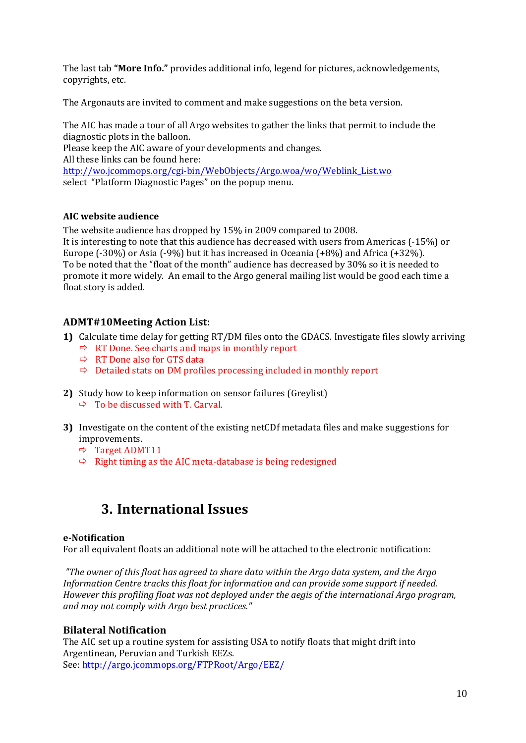The last tab **"More Info."** provides additional info, legend for pictures, acknowledgements, copyrights, etc.

The Argonauts are invited to comment and make suggestions on the beta version.

The AIC has made a tour of all Argo websites to gather the links that permit to include the diagnostic plots in the balloon. Please keep the AIC aware of your developments and changes. All these links can be found here: [http://wo.jcommops.org/cgi-bin/WebObjects/Argo.woa/wo/Weblink\\_List.wo](http://wo.jcommops.org/cgi-bin/WebObjects/Argo.woa/wo/Weblink_List.wo) select "Platform Diagnostic Pages" on the popup menu.

## <span id="page-9-0"></span>**AIC website audience**

The website audience has dropped by 15% in 2009 compared to 2008. It is interesting to note that this audience has decreased with users from Americas (-15%) or Europe (-30%) or Asia (-9%) but it has increased in Oceania (+8%) and Africa (+32%). To be noted that the "float of the month" audience has decreased by 30% so it is needed to promote it more widely. An email to the Argo general mailing list would be good each time a float story is added.

## <span id="page-9-1"></span>**ADMT#10Meeting Action List:**

- **1)** Calculate time delay for getting RT/DM files onto the GDACS. Investigate files slowly arriving
	- $\Rightarrow$  RT Done. See charts and maps in monthly report
	- $\Rightarrow$  RT Done also for GTS data
	- $\Rightarrow$  Detailed stats on DM profiles processing included in monthly report
- **2)** Study how to keep information on sensor failures (Greylist)  $\Rightarrow$  To be discussed with T. Carval.
- **3)** Investigate on the content of the existing netCDf metadata files and make suggestions for improvements.
	- $\Rightarrow$  Target ADMT11
	- $\Rightarrow$  Right timing as the AIC meta-database is being redesigned

## <span id="page-9-2"></span>**3. International Issues**

### **e-Notification**

For all equivalent floats an additional note will be attached to the electronic notification:

*"The owner of this float has agreed to share data within the Argo data system, and the Argo Information Centre tracks this float for information and can provide some support if needed. However this profiling float was not deployed under the aegis of the international Argo program, and may not comply with Argo best practices."*

### **Bilateral Notification**

The AIC set up a routine system for assisting USA to notify floats that might drift into Argentinean, Peruvian and Turkish EEZs. See[: http://argo.jcommops.org/FTPRoot/Argo/EEZ/](http://argo.jcommops.org/FTPRoot/Argo/EEZ/)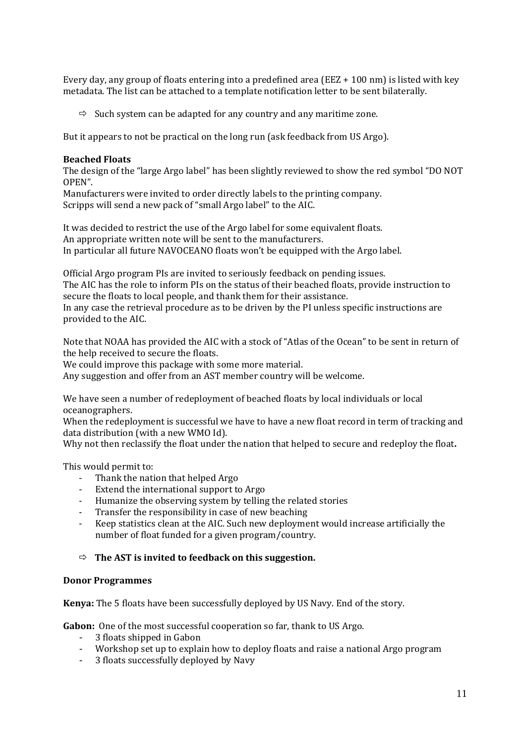Every day, any group of floats entering into a predefined area (EEZ + 100 nm) is listed with key metadata. The list can be attached to a template notification letter to be sent bilaterally.

 $\Rightarrow$  Such system can be adapted for any country and any maritime zone.

But it appears to not be practical on the long run (ask feedback from US Argo).

#### **Beached Floats**

The design of the "large Argo label" has been slightly reviewed to show the red symbol "DO NOT OPEN".

Manufacturers were invited to order directly labels to the printing company. Scripps will send a new pack of "small Argo label" to the AIC.

It was decided to restrict the use of the Argo label for some equivalent floats. An appropriate written note will be sent to the manufacturers. In particular all future NAVOCEANO floats won't be equipped with the Argo label.

Official Argo program PIs are invited to seriously feedback on pending issues. The AIC has the role to inform PIs on the status of their beached floats, provide instruction to secure the floats to local people, and thank them for their assistance. In any case the retrieval procedure as to be driven by the PI unless specific instructions are

provided to the AIC.

Note that NOAA has provided the AIC with a stock of "Atlas of the Ocean" to be sent in return of the help received to secure the floats.

We could improve this package with some more material.

Any suggestion and offer from an AST member country will be welcome.

We have seen a number of redeployment of beached floats by local individuals or local oceanographers.

When the redeployment is successful we have to have a new float record in term of tracking and data distribution (with a new WMO Id).

Why not then reclassify the float under the nation that helped to secure and redeploy the float**.**

This would permit to:<br>Thank the nati

- Thank the nation that helped Argo<br>- Fytend the international sunnort to
- Extend the international support to Argo
- Humanize the observing system by telling the related stories<br>- Transfer the responsibility in case of new heaching
- Transfer the responsibility in case of new beaching
- Keep statistics clean at the AIC. Such new deployment would increase artificially the number of float funded for a given program/country.

### **The AST is invited to feedback on this suggestion.**

#### **Donor Programmes**

**Kenya:** The 5 floats have been successfully deployed by US Navy. End of the story.

**Gabon:** One of the most successful cooperation so far, thank to US Argo.

- 3 floats shipped in Gabon
- Workshop set up to explain how to deploy floats and raise a national Argo program
- 3 floats successfully deployed by Navy